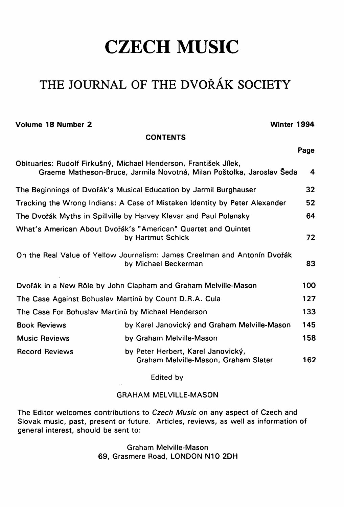# **CZECH MUSIC**

## **THE JOURNAL OF THE DVORAK SOCIETY**

**Volume 18 Number 2 Winter 1994** 

**Page** 

**CONTENTS** 

|                                                                                                                                           |                                                                            | .   |  |  |  |
|-------------------------------------------------------------------------------------------------------------------------------------------|----------------------------------------------------------------------------|-----|--|--|--|
| Obituaries: Rudolf Firkušný, Michael Henderson, František Jílek,<br>Graeme Matheson-Bruce, Jarmila Novotná, Milan Poštolka, Jaroslav Seda |                                                                            |     |  |  |  |
| The Beginnings of Dvořák's Musical Education by Jarmil Burghauser                                                                         |                                                                            |     |  |  |  |
| Tracking the Wrong Indians: A Case of Mistaken Identity by Peter Alexander                                                                |                                                                            |     |  |  |  |
| The Dvořák Myths in Spillville by Harvey Klevar and Paul Polansky                                                                         |                                                                            |     |  |  |  |
| What's American About Dvořák's "American" Quartet and Quintet<br>by Hartmut Schick                                                        |                                                                            |     |  |  |  |
| On the Real Value of Yellow Journalism: James Creelman and Antonin Dvořák<br>by Michael Beckerman                                         |                                                                            |     |  |  |  |
| Dvořák in a New Rôle by John Clapham and Graham Melville-Mason                                                                            |                                                                            |     |  |  |  |
| The Case Against Bohuslav Martinů by Count D.R.A. Cula                                                                                    |                                                                            |     |  |  |  |
| 133<br>The Case For Bohuslav Martinů by Michael Henderson                                                                                 |                                                                            |     |  |  |  |
| <b>Book Reviews</b>                                                                                                                       | by Karel Janovický and Graham Melville-Mason                               | 145 |  |  |  |
| <b>Music Reviews</b>                                                                                                                      | by Graham Melville-Mason                                                   | 158 |  |  |  |
| <b>Record Reviews</b>                                                                                                                     | by Peter Herbert, Karel Janovický,<br>Graham Melville-Mason, Graham Slater |     |  |  |  |

Edited by

#### **GRAHAM MELVILLE-MASON**

**The Editor welcomes contributions to** *Czech Music* **on any aspect of Czech and Slovak music, past, present or future. Articles, reviews, as well as Information of general interest, should be sent to:** 

> **Graham Melville-Mason 69, Grasmere Road, LONDON N10 2DH**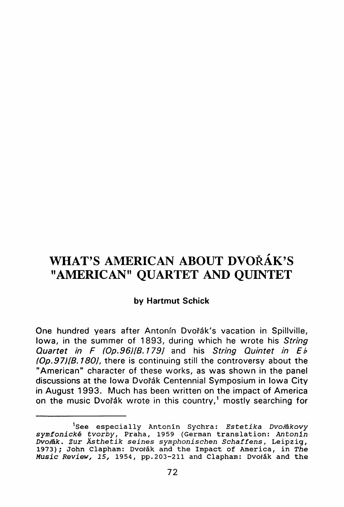### **WHAT'S AMERICAN ABOUT DVORÄK'S "AMERICAN" QUARTET AND QUINTET**

#### by Hartmut Schick

One hundred years after Antonín Dvořák's vacation in Spillville, lowa, in the summer of 1893, during which he wrote his String *Quartet in F (Op.96)[B.179]* and his *String Quintet in Eh (Op.97)[B.180]*, there is continuing still the controversy about the "American" character of these works, as was shown in the panel discussions at the Iowa Dvořák Centennial Symposium in Iowa City in August 1993. Much has been written on the impact of America on the music Dvořák wrote in this country,' mostly searching for

**<sup>]</sup> See especiall y Antoni n Sychra :** *Estetik a Dvofäkovy symfonick e tvorby ,* **Praha, 1959 (German translation :** *Antonl <sup>n</sup> Dvo/äk. Zu r Ästhetik seine s symphonische n Schaffens ,* **Leipzig , 1973); John Clapham:** Dvoták and the Impact of America, in The *Musi c Review , 15 ,* **1954, pp.203-211 and Clapham: Dvofäk and th e**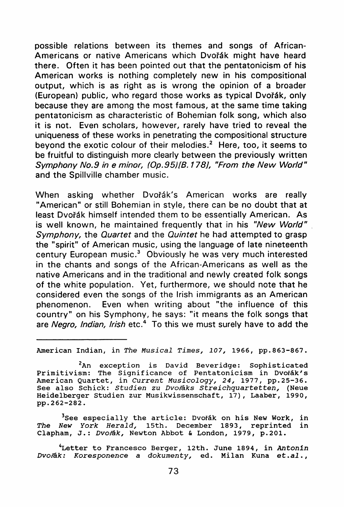possible relations between its themes and songs of African-Americans or native Americans which Dvořák might have heard there. Often it has been pointed out that the pentatonicism of his American works is nothing completely new in his compositional output, which is as right as is wrong the opinion of a broader (European) public, who regard those works as typical Dvořák, only because they are among the most famous, at the same time taking pentatonicism as characteristic of Bohemian folk song, which also it is not. Even scholars, however, rarely have tried to reveal the uniqueness of these works in penetrating the compositional structure beyond the exotic colour of their melodies.<sup>2</sup> Here, too, it seems to be fruitful to distinguish more clearly between the previously written *Symphony No.9 in e minor, (Op.95)[B.178], "From the New World"*  and the Spillville Chamber music.

When asking whether Dvořák's American works are really "American" or still Bohemian in style, there can be no doubt that at least Dvořák himself intended them to be essentially American. As is well known, he maintained frequently that in his "New World" *Symphony*, the *Quartet* and the *Quintet* he had attempted to grasp the "spirit" of American music, using the language of late nineteenth century European music." Obviously he was very much interested in the chants and songs of the African-Americans as well as the native Americans and in the traditional and newly created folk songs of the white population. Yet, furthermore, we should note that he considered even the songs of the Irish immigrants as an American phenomenon. Even when writing about "the influence of this country" on his Symphony, he says: "it means the folk songs that are *Negro, Indian, Irish* etc.<sup>4</sup> To this we must surely have to add the

**American Indian , i n** *Th e Musica l Times , 107 ,* **1966, pp.863-867.** 

**<sup>2</sup> An exceptio n i s Davi d Beveridge : Sophisticate d Primitivism : The Significanc e o f Pentatonicis m i n Dvofäk's American Quartet , i n** *Curren t Musicology , 24 ,* **1977, pp.25-36. See als o Schick :** *Studie n z u Dvofak s Streichquartetten ,* **(Neue Heidelberge r Studie n zur Musikwissenschaft, 17), Laaber, 1990, pp.262-282.** 

<sup>3</sup> See especially the article: Dvořák on his New Work, in<br>Vew York Herald, 15th, December 1893, reprinted in *The New York Herald*, 15th. December 1893, reprinted **Clapham, J. :** *Dvofäk,* **Newton Abbot & London, 1979, p.201.** 

**<sup>4</sup> Lette r t o Francesc o Berger, 12th. June 1894, i n** *Antonl <sup>n</sup> Dvo/ak : Koresponenc e a dokumenty ,* **ed. Mila n Kuna et.al. ,**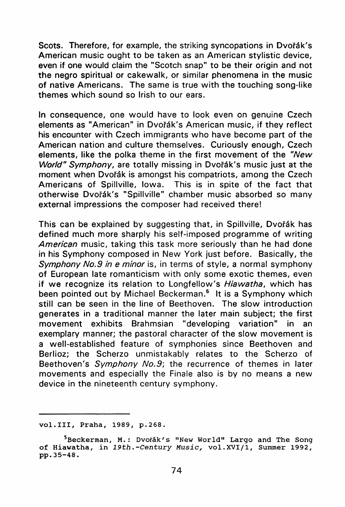Scots. Therefore, for example, the striking syncopations in Dvořák's American music ought to be taken as an American stylistic device, even if one would claim the "Scotch snap" to be their origin and not the negro spiritual or cakewalk, or similar phenomena in the music of native Americans. The same is true with the touching song-like themes which sound so Irish to our ears.

In consequence, one would have to look even on genuine Czech elements as "American" in Dvořák's American music, if they reflect his encounter with Czech immigrants who have become part of the American nation and culture themselves. Curiously enough, Czech elements, like the polka theme in the first movement of the "New *World" Symphony,* are totally missing in Dvořák's music just at the moment when Dvořák is amongst his compatriots, among the Czech Americans of Spillville, Iowa. This is in spite of the fact that otherwise Dvořák's "Spillville" chamber music absorbed so many external impressions the composer had received there!

This can be explained by suggesting that, in Spillville, Dvořák has defined much more sharply his self-imposed programme of writing *American* music, taking this task more seriously than he had done in his Symphony composed in New York just before. Basically, the *Symphony No.9 in e minor* is, in terms of style, a normal symphony of European late romanticism with only some exotic themes, even if we recognize its relation to Longfellow's Hiawatha, which has been pointed out by Michael Beckerman.° It is a Symphony which still can be seen in the line of Beethoven. The slow introduction generates in a traditional manner the later main subject; the first movement exhibits Brahmsian "developing variation" in an exemplary manner; the pastoral character of the slow movement is a well-established feature of symphonies since Beethoven and Berlioz; the Scherzo unmistakably relates to the Scherzo of Beethoven's Symphony No.9; the recurrence of themes in later movements and especially the Finale also is by no means a new device in the nineteenth century symphony.

**vol.III , Praha, 1989, p.268.** 

<sup>&</sup>lt;sup>5</sup> Beckerman, M.: Dvořák's "New World" Largo and The Song **<sup>o</sup> f Hiawatha, i n 1** *9th.-Centur y Music ,* **vol.XVI/1 , Summer 1992, pp.35-48.**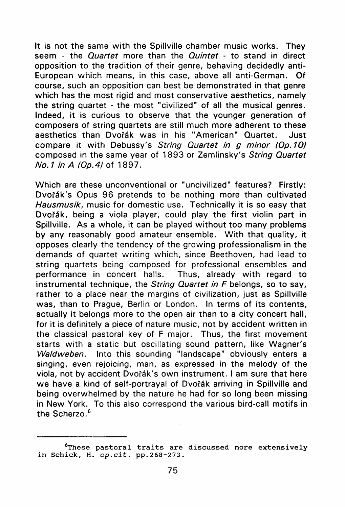It is not the same with the Spillville chamber music works. They seem - the *Quartet* more than the *Quintet* - to stand in direct opposition to the tradition of their genre, behaving decidedly anti-European which means, in this case, above all anti-German. Of course, such an opposition can best be demonstrated in that genre which has the most rigid and most conservative aesthetics, namely the string quartet - the most "civilized" of all the musical genres. Indeed, it is curious to observe that the younger generation of composers of string quartets are still much more adherent to these aesthetics than Dvořák was in his "American" Quartet. Just compare it with Debussy's *String Quartet in g minor (Op.10)* composed in the same year of 1893 or Zemlinsky's String Quartet *No.1 inA (Op.4)* of 1897 .

Which are these unconventional or "uncivilized" features? Firstly: Dvořák's Opus 96 pretends to be nothing more than cultivated Hausmusik, music for domestic use. Technically it is so easy that Dvořák, being a viola player, could play the first violin part in Spillville. As a whole, it can be played without too many problems by any reasonably good amateur ensemble. With that quality, it opposes clearly the tendency of the growing professionalism in the demands of quartet writing which, since Beethoven, had lead to string quartets being composed for professional ensembles and performance in concert halls. Thus, already with regard to instrumental technique, the *String Quartet in F* belongs, so to say, rather to a place near the margins of civilization, just as Spillville was, than to Prague, Berlin or London. In terms of its contents, actually it belongs more to the open air than to a city concert hall, for it is definitely a piece of nature music, not by accident written in the classical pastoral key of F major. Thus, the first movement starts with a static but oscillating sound pattern, like Wagner's *Waidweben.* Into this sounding "landscape" obviously enters **a**  singing, even rejoicing, man, as expressed in the melody of the viola, not by accident Dvořák's own instrument. I am sure that here we have a kind of self-portrayal of Dvořák arriving in Spillville and being overwhelmed by the nature he had for so long been missing in New York. To this also correspond the various bird-call motifs in the Scherzo.<sup>6</sup>

**<sup>6</sup> These pastora l trait s ar e discusse d more extensivel y i n Schick , H.** *op.cit .* **pp.268-273.**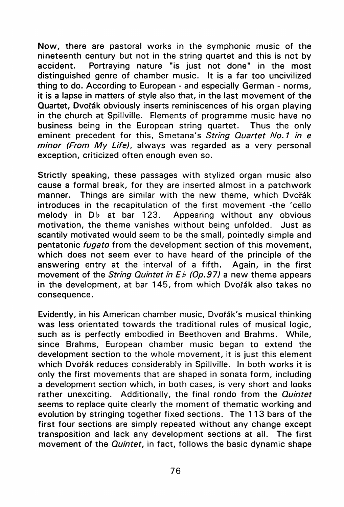Now, there are pastoral works in the symphonic music of the nineteenth century but not in the string quartet and this is not by accident. Portraving nature "is just not done" in the most distinguished genre of chamber music. It is a far too uncivilized thing to do. According to European - and especially German - norms, it is a lapse in matters of style also that, in the last movement of the Quartet, Dvofäk obviously inserts reminiscences of his organ playing in the church at Spillville. Elements of programme music have no business being in the European string quartet. Thus the only eminent precedent for this, Smetana's String Quartet No.1 in e *minor (From My Life),* always was regarded as a very personal exception, criticized often enough even so.

Strictly speaking, these passages with stylized organ music also cause a formal break, for they are inserted almost in a patchwork manner. Things are similar with the new theme, which Dvořák introduces in the recapitulation of the first movement -the 'cello melody in  $Db$  at bar 123. Appearing without any obvious motivation, the theme vanishes without being unfolded. Just as scantily motivated would seem to be the small, pointedly simple and pentatonic *fugato* from the development section of this movement, which does not seem ever to have heard of the principle of the answering entry at the interval of a fifth. Again, in the first movement of the *String Quintet in E b (Op.97)* a new theme appears in the development, at bar 145, from which Dvořák also takes no consequence.

Evidently, in his American Chamber music, Dvofäk's musical thinking was less orientated towards the traditional rules of musical logic, such as is perfectly embodied in Beethoven and Brahms. While, since Brahms, European chamber music began to extend the development section to the whole movement, it is just this element which Dvořák reduces considerably in Spillville. In both works it is only the first movements that are shaped in sonata form, including **a** development section which , in both cases, is very Short and looks rather unexciting. Additionally, the final rondo from the *Quintet* seems to replace quite clearly the moment of thematic working and evolution by stringing together fixed sections. The 113 bars of the first four sections are simply repeated without any change except transposition and lack any development sections at all. The first movement of the *Quintet*, in fact, follows the basic dynamic shape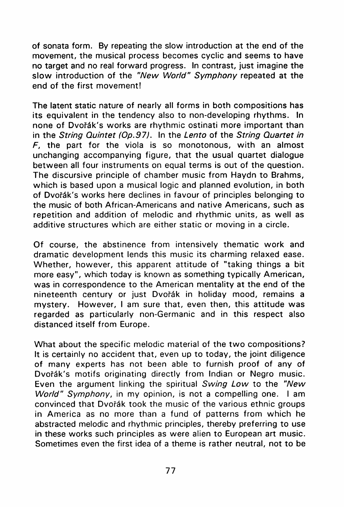of sonata form. By repeating the slow introduction at the end of the movement, the musical process becomes cyclic and seems to have no target and no real forward progress. In contrast, just imagine the slow introduction of the "New World" Symphony repeated at the end of the first movement!

The latent static nature of nearly all forms in both compositions has its equivalent in the tendency also to non-developing rhythms. In none of Dvořák's works are rhythmic ostinati more important than in the *String Quintet (Op.97).* In the *Lento* of the *String Quartet in*   $F$ , the part for the viola is so monotonous, with an almost unchanging accompanying figure, that the usual quartet dialogue between all four instruments on equal terms is out of the question. The discursive principle of chamber music from Haydn to Brahms, which is based upon a musical logic and planned evolution, in both of Dvořák's works here declines in favour of principles belonging to the music of both African-Americans and native Americans , such as repetition and addition of melodic and rhythmic units, as well as additive structures which are either static or moving in a circle.

Of course, the abstinence from intensively thematic work and dramatic development lends this music its charming relaxed ease. Whether, however, this apparent attitude of "taking things a bit more easy", which today is known as something typically American, was in correspondence to the American mentality at the end of the nineteenth century or just Dvořák in holiday mood, remains a mystery. However, I am sure that, even then, this attitude was regarded as particularly non-Germanic and in this respect also distanced itself from Europe.

What about the specific melodic material of the two compositions? It is certainly no accident that, even up to today, the joint diligence of many experts has not been able to furnish proof of any of Dvořák's motifs originating directly from Indian or Negro music. Even the argument linking the spiritual *Swing Low* to the *"New World" Symphony*, in my opinion, is not a compelling one. I am convinced that Dvofäk took the music of the various ethnic groups in America as no more than a fund of patterns from which he abstracted melodic and rhythmic principles, thereby preferring to use in these works such principles as were alien to European art music. Sometimes even the first idea of a theme is rather neutral, not to be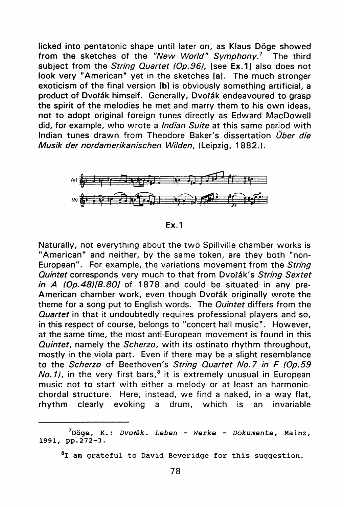licked into pentatonic shape until later on, as Klaus Döge showed from the sketches of the *"New World" Symphony.'* The third subject from the *String Quartet (Op.96)*, [see Ex.1] also does not look very "American" yet in the sketches [a]. The much stronger exoticism of the final version [b] is obviously something artificial, a product of Dvořák himself. Generally, Dvořák endeavoured to grasp the spirit of the melodies he met and marry them to his own ideas, not to adopt original foreign tunes directly as Edward MacDowell did, for example, who wrote a *Indian Suite* at this same period with Indian tunes drawn from Theodore Baker's dissertation *Über die Musik der nordamerikanischen Wilden,* (Leipzig, 1882.) .



Ex**.1** 

Naturally, not everything about the two Spillville chamber works is "American" and neither, by the same token, are they both "non-European". For example, the variations movement from the *String Quintet* corresponds very much to that from Dvořák's String Sextet *in A (Op.48)[B.80]* of 1878 and could be situated in any pre-American chamber work, even though Dvořák originally wrote the theme for a song put to English words. The *Quintet* differs from the *Quartet* in that it undoubtedly requires professional players and so, in this respect of course, belongs to "concert hall music". However, at the same time, the most anti-European movement is found in this *Quintet*, namely the *Scherzo*, with its ostinato rhythm throughout, mostly in the viola part. Even if there may be a slight resemblance to the *Scherzo* of Beethoven's *String Quartet No.7 in F (Op.59 No.1),* in the very first bars,° it is extremely unusual in European music not to start with either a melody or at least an harmonicchordal structure. Here, instead, we find a naked, in a way flat, rhythm clearly evoking a drum, which is an invariable

**<sup>7</sup> Döge, K. :** *Dvofäk. Lebe n - Werk e - Dokumente ,* **Mainz, 1991, pp.272-3.** 

**<sup>8</sup> I am gratefu l t o Davi d Beveridg e fo r thi s Suggestion .**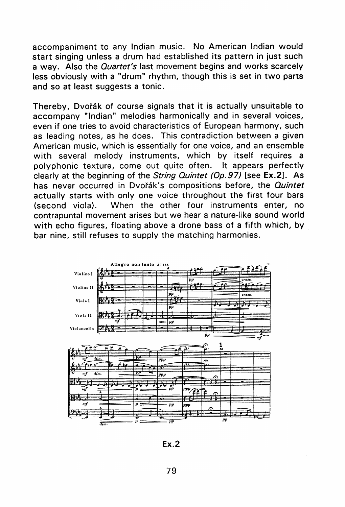accompaniment to any Indian music. No American Indian would **Start** singing unless a drum had established its pattern in just such a way. Also the *Quartet's* last movement begins and works scarcely less obviously with a "drum" rhythm, though this is set in two parts and so at least suggests a tonic.

Thereby, Dvořák of course signals that it is actually unsuitable to accompany "Indian" melodies harmonically and in several voices, even if one tries to avoid characteristics of European harmony, such as leading notes, as he does. This contradiction between a given American music, which is essentially for one voice, and an ensemble with several melody instruments, which by itself requires a polyphonic texture, come out quite often. It appears perfectly clearly at the beginning of the *String Quintet (Op.97)* [see Ex.2]. As has never occurred in Dvořák's compositions before, the *Quintet* actually starts with only one voice throughout the first four bars (second viola). When the other four instruments enter, no contrapuntal movement arises but we hear a nature-like sound world with echo figures, floating above a drone bass of a fifth which, by bar nine, still refuses to supply the matching harmonies.



Ex.2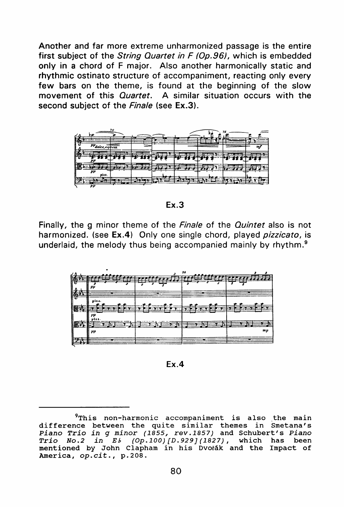Another and far more extreme unharmonized passage is the entire first subject of the *String Quartet in F (Op.96)*, which is embedded only in a chord of F major. Also another harmonically static and rhythmic ostinato structure of accompaniment, reacting only every few bars on the theme, is found at the beginning of the slow movement of this *Quartet*. A similar situation occurs with the second subject of the *Finale* (see Ex.3).



Ex.3

Finally, the g minor theme of the *Finale* of the *Quintet* also is not harmonized . (see Ex.4) Only one **Single** chord, **played** *pizzicato,* is underlaid, the **melody** thus **being accompanied mainly** by rhythm. <sup>9</sup>

| ↵ |       |                        | 36 |    |
|---|-------|------------------------|----|----|
|   | ΡΡ    |                        |    |    |
| 廗 | piza. |                        |    |    |
|   | 438   | .e.<br>ਤਿਵਾਸ ਦੇ<br>r — |    |    |
|   | iss.  |                        |    | mp |
|   | pp    |                        |    |    |

Ex.4

<sup>&</sup>lt;sup>9</sup>This non-harmonic accompaniment is also the main **differenc e between th e quit e simila r themes i n Smetana's**  *Pian o Tri o i n g mino r (1855 , rev.1857 )* **and Schubert' s** *Pian <sup>o</sup> Tri o No. 2 i n E h (Op.100)[D.929](1827) ,* **which has been**  mentioned by John Clapham in his Dvořák and the Impact of **America,** *op.cit. ,* **p.208.**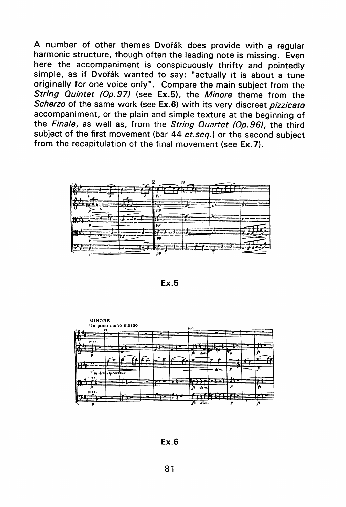A number of other themes Dvořák does provide with a regular harmonic structure, though often the leading note is missing. Even here the accompaniment is conspicuously thrifty and pointedly simple, as if Dvořák wanted to say: "actually it is about a tune originally for one voice only". Compare the main subject from the *String Quintet (Op.97)* (see Ex.5), the *Minore* theme from the *Scherzo* of the same work (see Ex.6) with its very discreet pizzicato accompaniment, or the plain and simple texture at the beginning of the Finale, as well as, from the String Quartet (Op.96), the third subject of the first movement (bar 44 et.seq.) or the second subject from the recapitulation of the final movement (see Ex.7).



Ex.**5** 



Ex**.6**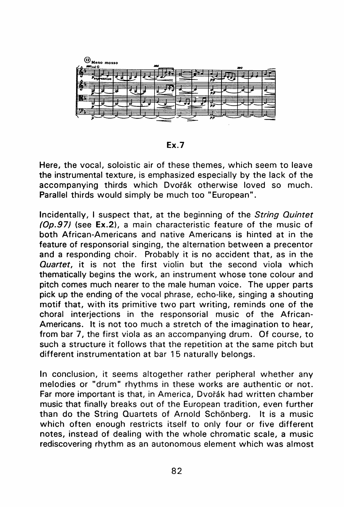

Ex**.7** 

Here, the vocal, soloistic air of these themes, which seem to leave the instrumental texture, is emphasized especially by the lack of the accompanying thirds which Dvořák otherwise loved so much. Parallel thirds would simply be much too "European".

Incidentally, I suspect **that,** at **the** beginning of **the** *String Quintet (Op.97)* (see Ex.2), a main characteristic feature of the music of both African-Americans and native Americans is hinted at in the feature of responsorial singing, the alternation between a precentor and a responding choir. Probably it is no accident that, as in the **Quartet**, it is not the first violin but the second viola which thematically begins the work, an instrument whose tone colour and pitch comes much nearer to the male human voice. The upper parts pick up the ending of the vocal phrase, echo-like, singing a shouting motif that, with its primitive two part writing, reminds one of the Choral interjections in **the** responsorial music of **the** African - Americans. It is not too much a stretch of the imagination to hear, from bar 7, the first viola as an accompanying drum. Of course, to such a structure it follows that the repetition at the same pitch but different instrumentation at bar 15 naturally belongs.

In conclusion, it seems altogether rather peripheral whether any melodies or "drum" rhythms in these works are authentic or not. Far more important is that, in America, Dvořák had written chamber music that finally breaks out of the European tradition, even further than do the String Quartets of Arnold Schönberg. It is a music which often enough restricts itself to only four or five different notes, instead of dealing with the whole chromatic scale, a music rediscovering rhythm as an autonomous element which was almost